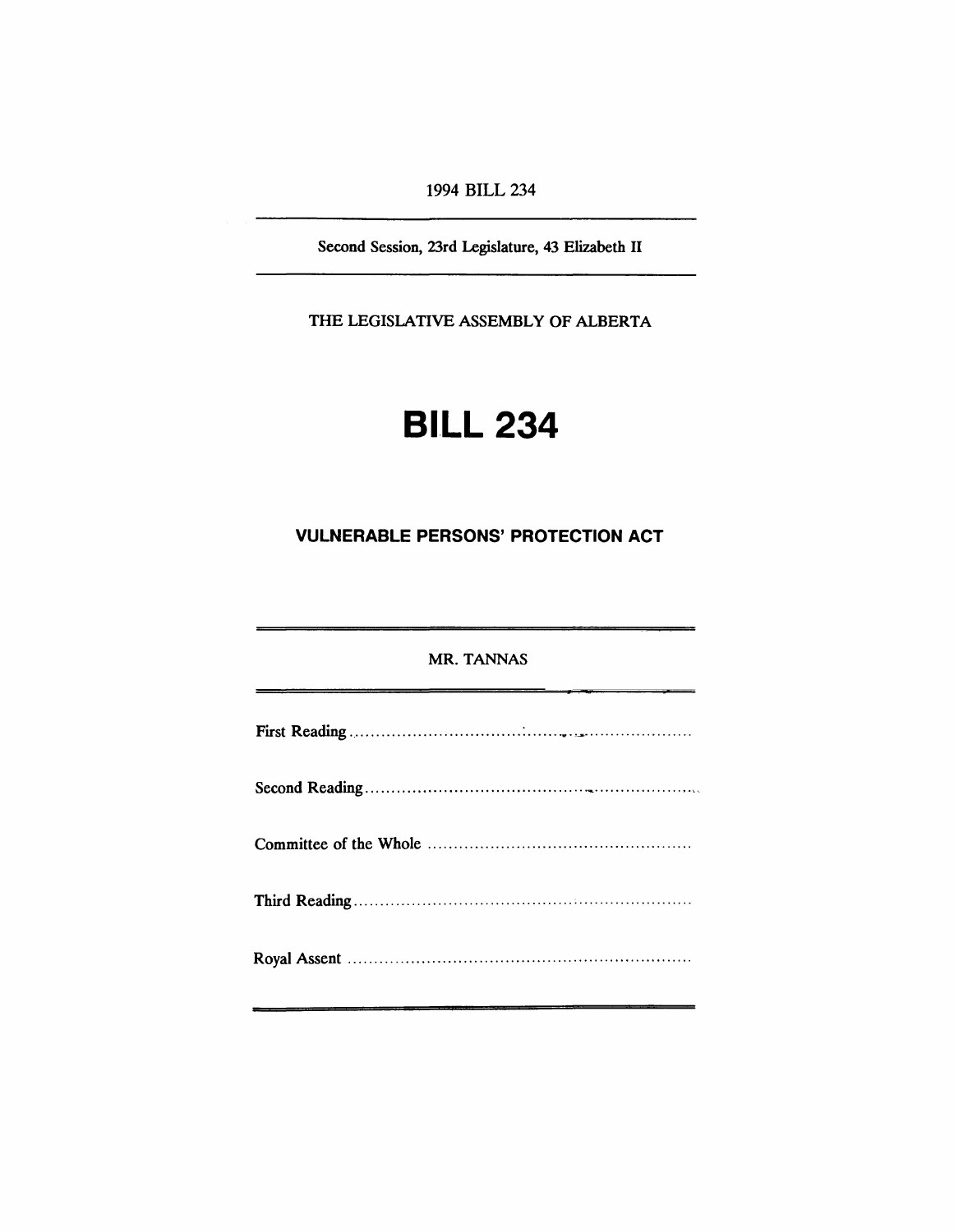1994 BILL 234

Second Session, 23rd Legislature, 43 Elizabeth II

THE LEGISLATIVE ASSEMBLY OF ALBERTA

# **BILL 234**

## **VULNERABLE PERSONS' PROTECTION ACT**

### MR. TANNAS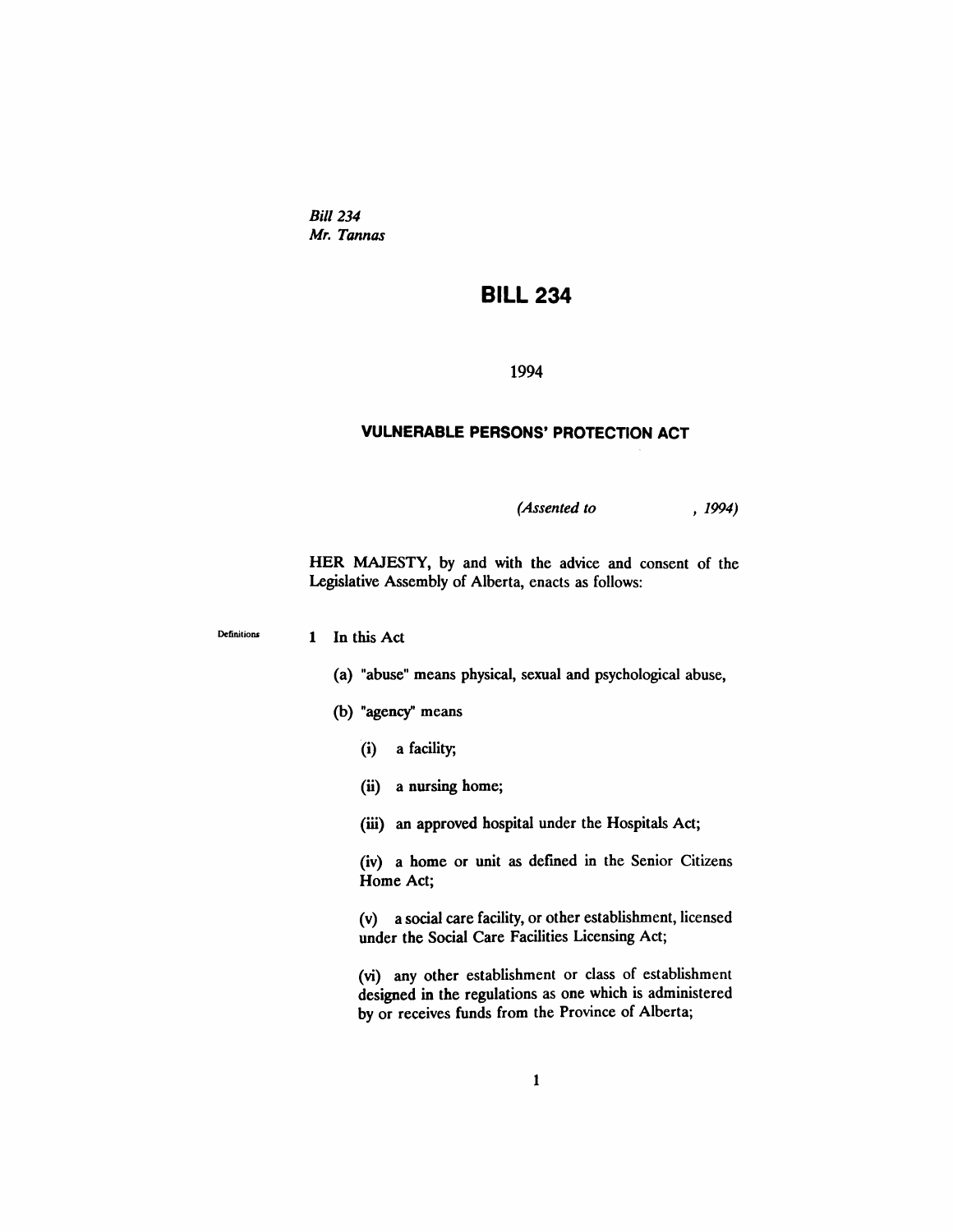Bill 234 *Mr. Tannas*

## **BILL 234**

1994

#### **VULNERABLE PERSONS' PROTECTION ACT**

*(Assented to* , 1994)

HER MAJESTY, by and with the advice and consent of the Legislative Assembly of Alberta, enacts as follows:

Definitions 1 In this Act

- (a) "abuse" means physical, sexual and psychological abuse,
- (b) "agency" means
	- (i) a facility;
	- (ii) a nursing home;
	- (iii) an approved hospital under the Hospitals Act;

(iv) a home or unit as defmed in the Senior Citizens Home Act;

(v) a social care facility, or other establishment, licensed under the Social Care Facilities Licensing Act;

(vi) any other establishment or class of establishment designed in the regulations as one which is administered by or receives funds from the Province of Alberta;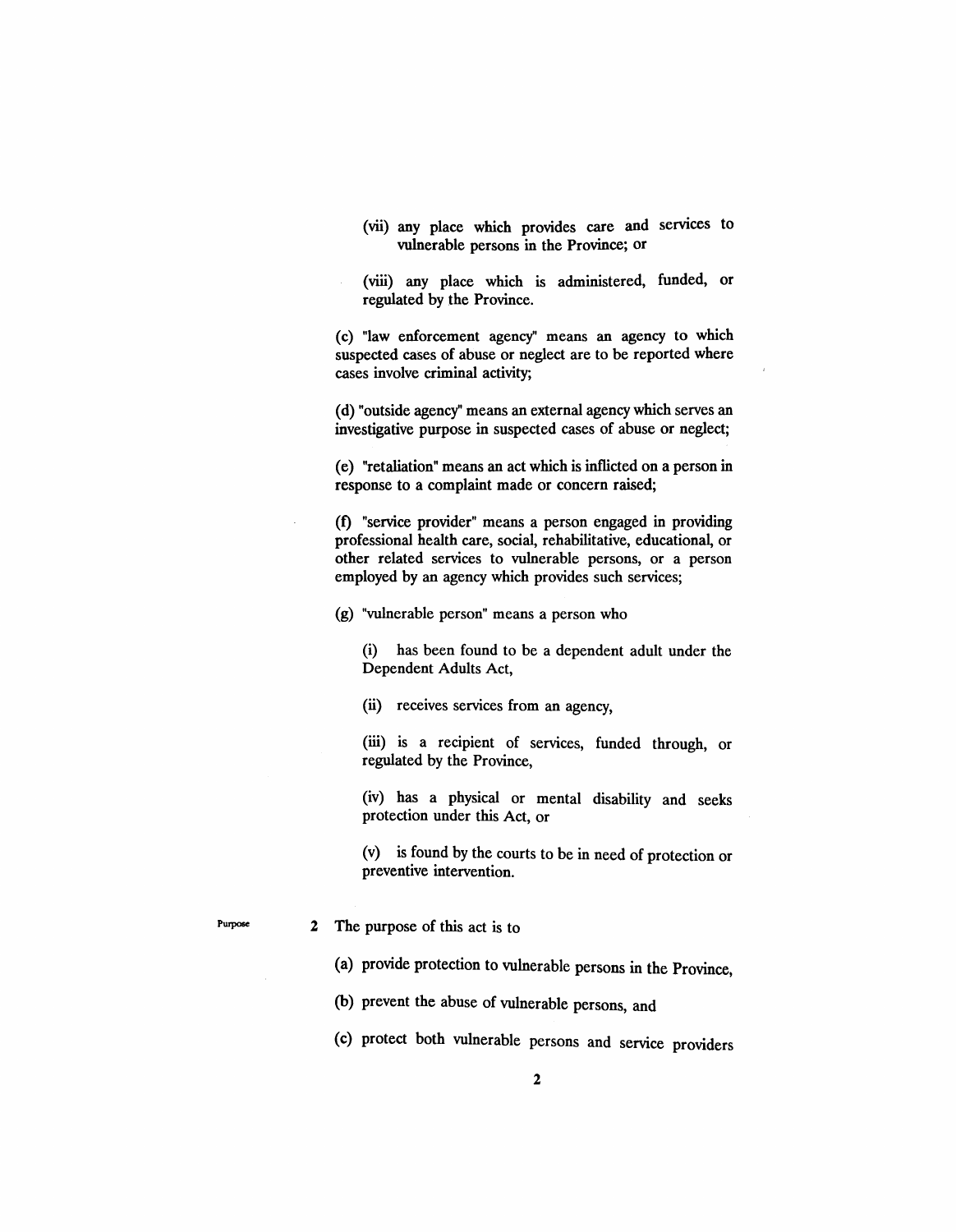- (vii) any place which provides care and services to vulnerable persons in the Province; or
- (viii) any place which is administered, funded, or regulated by the Province.

(c) "law enforcement agency" means an agency to which suspected cases of abuse or neglect are to be reported where cases involve criminal activity;

(d) "outside agency" means an external agency which serves an investigative purpose in suspected cases of abuse or neglect;

(e) "retaliation" means an act which is inflicted on a person in response to a complaint made or concern raised;

(f) "service provider" means a person engaged in providing professional health care, social, rehabilitative, educational, or other related services to vulnerable persons, or a person employed by an agency which provides such services;

(g) "vulnerable person" means a person who

(i) has been found to be a dependent adult under the Dependent Adults Act,

(ii) receives services from an agency,

(iii) is a recipient of services, funded through, or regulated by the Province,

(iv) has a physical or mental disability and seeks protection under this Act, or

(v) is found by the courts to be in need of protection or preventive intervention.

#### Purpose 2 The purpose of this act is to

(a) provide protection to vulnerable persons in the Province,

(b) prevent the abuse of vulnerable persons, and

(c) protect both vulnerable persons and service providers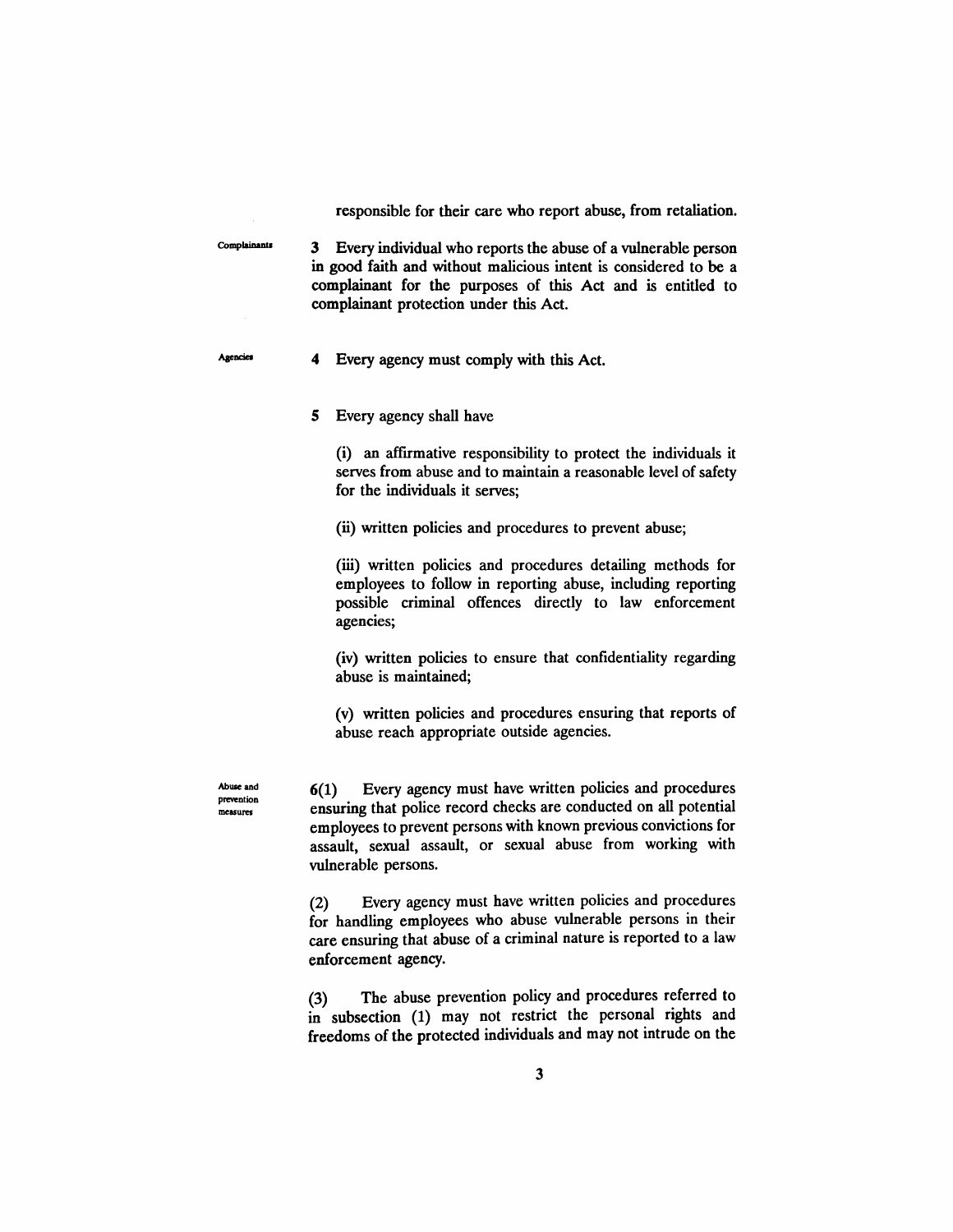responsible for their care who report abuse, from retaliation.

3 Every individual who reports the abuse of a vulnerable person in good faith and without malicious intent is considered to be a complainant for the purposes of this Act and is entitled to complainant protection under this Act.

Agencies

Complainants

4 Every agency must comply with this Act.

5 Every agency shall have

(i) an affrrmative responsibility to protect the individuals it serves from abuse and to maintain a reasonable level of safety for the individuals it serves;

(ii) written policies and procedures to prevent abuse;

(iii) written policies and procedures detailing methods for employees to follow in reporting abuse, including reporting possible criminal offences directly to law enforcement agencies;

(iv) written policies to ensure that confidentiality regarding abuse is maintained;

(v) written policies and procedures ensuring that reports of abuse reach appropriate outside agencies.

Abuse and prevention measures

6(1) Every agency must have written policies and procedures ensuring that police record checks are conducted on all potential employees to prevent persons with known previous convictions for assault, sexual assault, or sexual abuse from working with vulnerable persons.

(2) Every agency must have written policies and procedures for handling employees who abuse vulnerable persons in their care ensuring that abuse of a criminal nature is reported to a law enforcement agency.

(3) The abuse prevention policy and procedures referred to in subsection (1) may not restrict the personal rights and freedoms of the protected individuals and may not intrude on the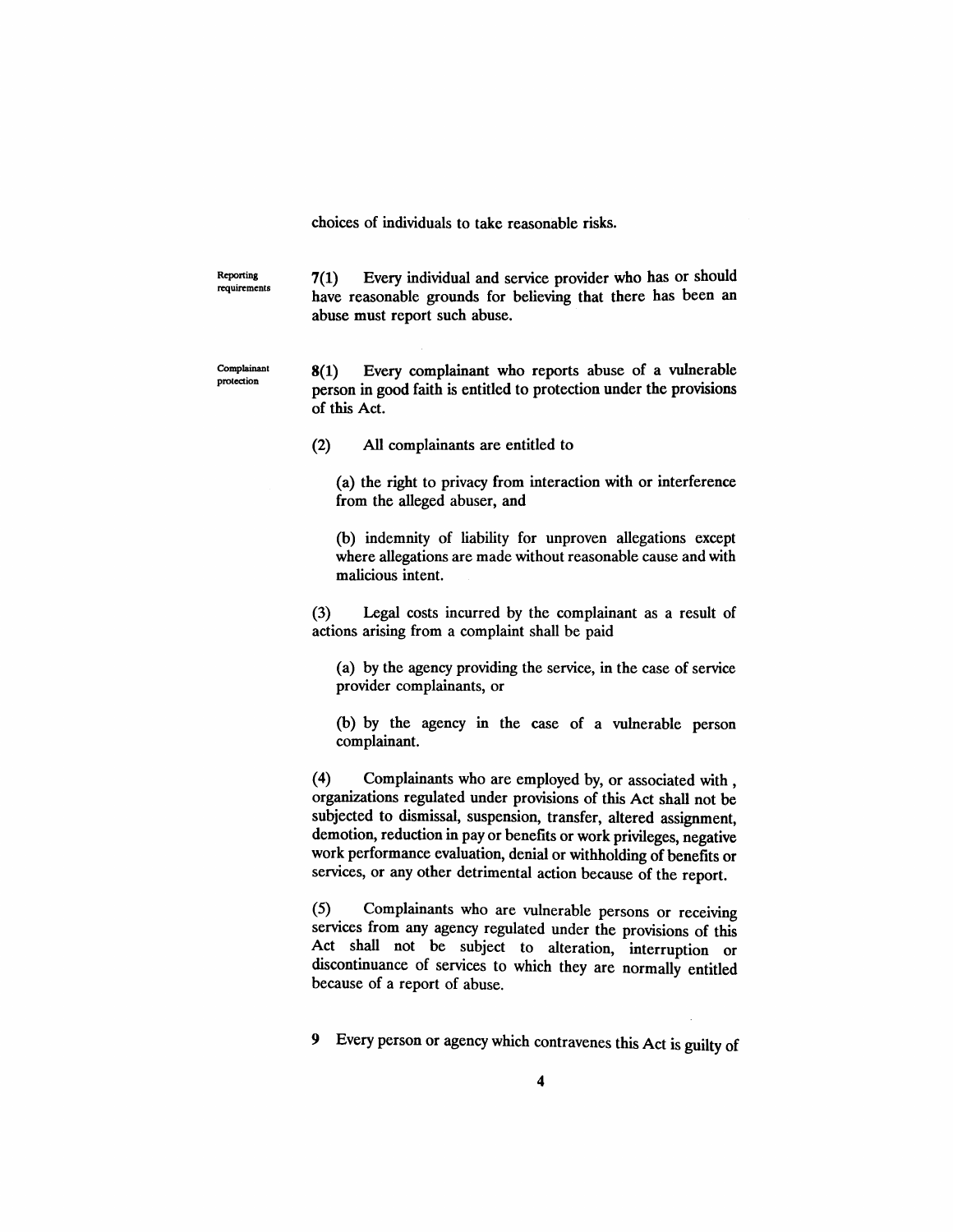choices of individuals to take reasonable risks.

Reporting requirements 7(1) Every individual and service provider who has or should have reasonable grounds for believing that there has been an abuse must report such abuse.

Complainant protection

8(1) Every complainant who reports abuse of a vulnerable person in good faith is entitled to protection under the provisions of this Act.

(2) All complainants are entitled to

(a) the right to privacy from interaction with or interference from the alleged abuser, and

(b) indemnity of liability for unproven allegations except where allegations are made without reasonable cause and with malicious intent.

(3) Legal costs incurred by the complainant as a result of actions arising from a complaint shall be paid

(a) by the agency providing the service, in the case of service provider complainants, or

(b) by the agency in the case of a vulnerable person complainant.

(4) Complainants who are employed by, or associated with , organizations regulated under provisions of this Act shall not be subjected to dismissal, suspension, transfer, altered assignment, demotion, reduction in payor benefits or work privileges, negative work performance evaluation, denial or withholding of benefits or services, or any other detrimental action because of the report.

(5) Complainants who are vulnerable persons or receiving services from any agency regulated under the provisions of this Act shall not be subject to alteration, interruption or discontinuance of services to which they are normally entitled because of a report of abuse.

9 Every person or agency which contravenes this Act is guilty of